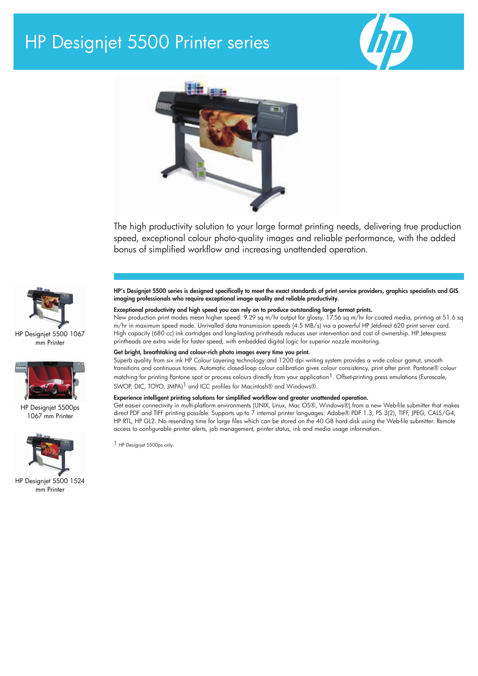# HP Designjet 5500 Printer series





The high productivity solution to your large format printing needs, delivering true production speed, exceptional colour photo-quality images and reliable performance, with the added bonus of simplified workflow and increasing unattended operation.



HP Designjet 5500 1067 mm Printer



HP Designjet 5500ps 1067 mm Printer



HP Designjet 5500 1524 mm Printer

HP's Designjet 5500 series is designed specifically to meet the exact standards of print service providers, graphics specialists and GIS imaging professionals who require exceptional image quality and reliable productivity.

# Exceptional productivity and high speed you can rely on to produce outstanding large format prints.

New production print modes mean higher speed: 9.29 sq m/hr output for glossy, 17.56 sq m/hr for coated media, printing at 51.6 sq m/hr in maximum speed mode. Unrivalled data transmission speeds (4.5 MB/s) via a powerful HP Jetdirect 620 print server card. High capacity (680 cc) ink cartridges and long-lasting printheads reduces user intervention and cost of ownership. HP Jetexpress printheads are extra wide for faster speed, with embedded digital logic for superior nozzle monitoring.

### Get bright, breathtaking and colour-rich photo images every time you print.

Superb quality from six ink HP Colour Layering technology and 1200 dpi writing system provides a wide colour gamut, smooth transitions and continuous tones. Automatic closed-loop colour calibration gives colour consistency, print after print. Pantone® colour matching for printing Pantone spot or process colours directly from your application<sup>1</sup>. Offset-printing press emulations (Euroscale, SWOP, DIC, TOYO, JMPA)<sup>1</sup> and ICC profiles for Macintosh® and Windows®.

# Experience intelligent printing solutions for simplified workflow and greater unattended operation.

Get easier connectivity in multi-platform environments (UNIX, Linux, Mac OS®, Windows®) from a new Web-file submitter that makes direct PDF and TIFF printing possible. Supports up to 7 internal printer languages: Adobe® PDF 1.3, PS 3(2), TIFF, JPEG, CALS/G4, HP RTL, HP GL2. No resending time for large files which can be stored on the 40 GB hard disk using the Web-file submitter. Remote access to configurable printer alerts, job management, printer status, ink and media usage information.

1 HP Designjet 5500ps only.